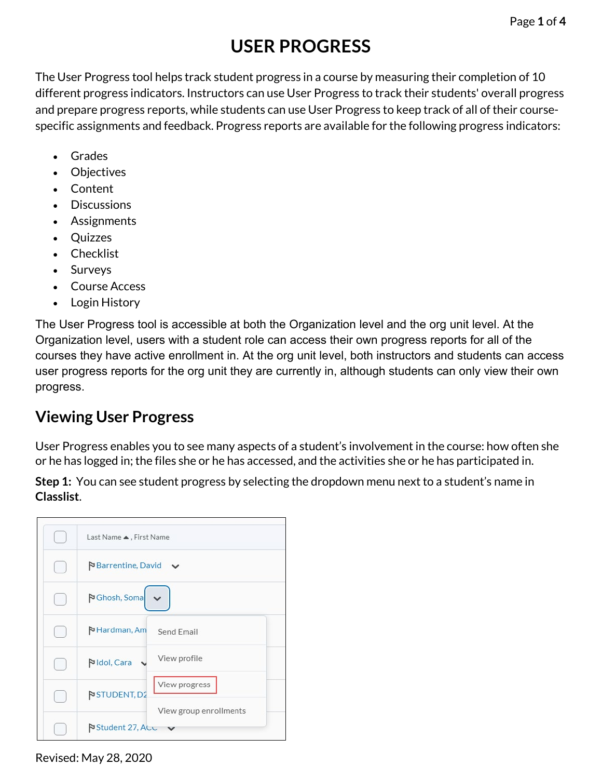## **USER PROGRESS**

The User Progress tool helps track student progress in a course by measuring their completion of 10 different progress indicators. Instructors can use User Progress to track their students' overall progress and prepare progress reports, while students can use User Progress to keep track of all of their coursespecific assignments and feedback. Progress reports are available for the following progress indicators:

- Grades
- Objectives
- Content
- Discussions
- Assignments
- Quizzes
- Checklist
- Surveys
- Course Access
- Login History

The User Progress tool is accessible at both the Organization level and the org unit level. At the Organization level, users with a student role can access their own progress reports for all of the courses they have active enrollment in. At the org unit level, both instructors and students can access user progress reports for the org unit they are currently in, although students can only view their own progress.

## **Viewing User Progress**

User Progress enables you to see many aspects of a student's involvement in the course: how often she or he has logged in; the files she or he has accessed, and the activities she or he has participated in.

**Step 1:** You can see student progress by selecting the dropdown menu next to a student's name in **Classlist**.

| Last Name ▲, First Name                   |
|-------------------------------------------|
| Barrentine, David                         |
| <b>P</b> Ghosh, Soma                      |
| Hardman, Am<br>Send Email                 |
| View profile<br><b>N</b> Idol, Cara       |
| View progress<br>STUDENT, D2              |
| View group enrollments<br>Student 27, ALC |

Revised: May 28, 2020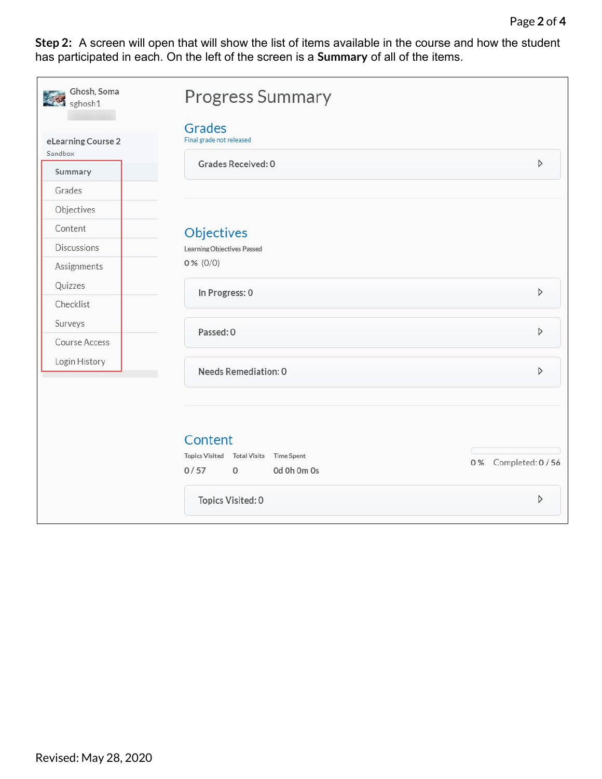**Step 2:** A screen will open that will show the list of items available in the course and how the student has participated in each. On the left of the screen is a **Summary** of all of the items.

| Ghosh, Soma<br>sghosh1        | <b>Progress Summary</b>                                                                           |                    |  |  |
|-------------------------------|---------------------------------------------------------------------------------------------------|--------------------|--|--|
| eLearning Course 2<br>Sandbox | Grades<br>Final grade not released                                                                |                    |  |  |
| Summary                       | Grades Received: 0                                                                                | D                  |  |  |
| Grades                        |                                                                                                   |                    |  |  |
| Objectives                    |                                                                                                   |                    |  |  |
| Content                       | Objectives                                                                                        |                    |  |  |
| <b>Discussions</b>            | Learning Objectives Passed                                                                        |                    |  |  |
| Assignments                   | $0\%$ (0/0)                                                                                       |                    |  |  |
| Quizzes                       |                                                                                                   | D                  |  |  |
| Checklist                     | In Progress: 0                                                                                    |                    |  |  |
| Surveys                       |                                                                                                   | D                  |  |  |
| Course Access                 | Passed: 0                                                                                         |                    |  |  |
| Login History                 | Needs Remediation: 0                                                                              | D                  |  |  |
|                               | Content<br>Topics Visited Total Visits<br><b>Time Spent</b><br>0/57<br>Od Oh Om Os<br>$\mathbf 0$ | 0% Completed: 0/56 |  |  |
|                               | Topics Visited: 0                                                                                 | D                  |  |  |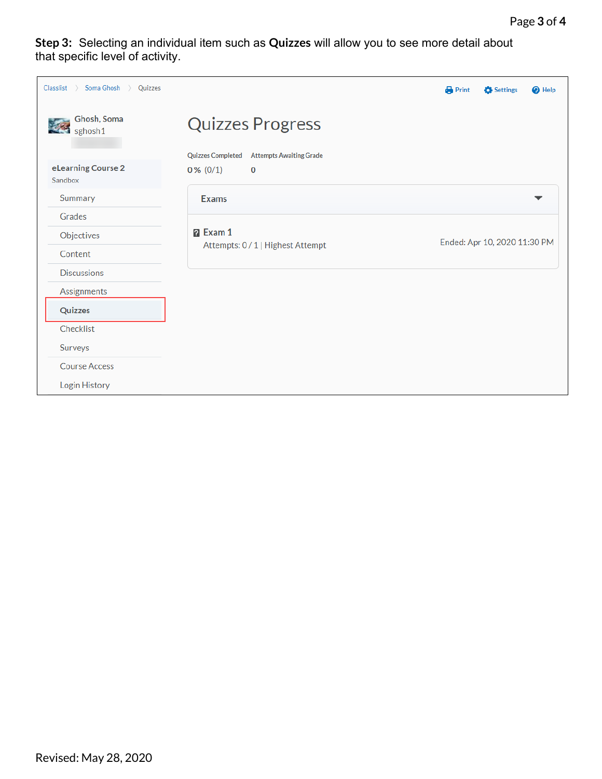**Step 3:** Selecting an individual item such as **Quizzes** will allow you to see more detail about that specific level of activity.

| Classlist<br>$\rightarrow$ Soma Ghosh $\rightarrow$<br>Quizzes |                                                      | Print                        | Settings | <sup>O</sup> Help |
|----------------------------------------------------------------|------------------------------------------------------|------------------------------|----------|-------------------|
| Ghosh, Soma<br>sghosh1                                         | <b>Quizzes Progress</b>                              |                              |          |                   |
|                                                                | Quizzes Completed Attempts Awaiting Grade            |                              |          |                   |
| eLearning Course 2<br>Sandbox                                  | $0\%$ (0/1)<br>0                                     |                              |          |                   |
| Summary                                                        | <b>Exams</b>                                         |                              |          |                   |
| Grades                                                         |                                                      |                              |          |                   |
| Objectives                                                     | <b>P</b> Exam 1<br>Attempts: 0 / 1   Highest Attempt | Ended: Apr 10, 2020 11:30 PM |          |                   |
| Content                                                        |                                                      |                              |          |                   |
| <b>Discussions</b>                                             |                                                      |                              |          |                   |
| Assignments                                                    |                                                      |                              |          |                   |
| Quizzes                                                        |                                                      |                              |          |                   |
| Checklist                                                      |                                                      |                              |          |                   |
| Surveys                                                        |                                                      |                              |          |                   |
| <b>Course Access</b>                                           |                                                      |                              |          |                   |
| Login History                                                  |                                                      |                              |          |                   |